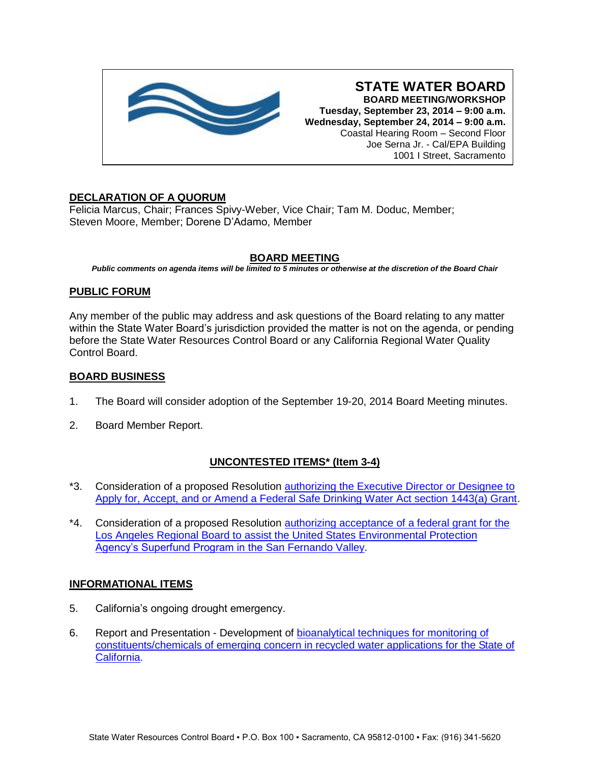

**STATE WATER BOARD BOARD MEETING/WORKSHOP Tuesday, September 23, 2014 – 9:00 a.m. Wednesday, September 24, 2014 – 9:00 a.m.** Coastal Hearing Room – Second Floor Joe Serna Jr. - Cal/EPA Building 1001 I Street, Sacramento

# **DECLARATION OF A QUORUM**

Felicia Marcus, Chair; Frances Spivy-Weber, Vice Chair; Tam M. Doduc, Member; Steven Moore, Member; Dorene D'Adamo, Member

## **BOARD MEETING**

*Public comments on agenda items will be limited to 5 minutes or otherwise at the discretion of the Board Chair*

#### **PUBLIC FORUM**

Any member of the public may address and ask questions of the Board relating to any matter within the State Water Board's jurisdiction provided the matter is not on the agenda, or pending before the State Water Resources Control Board or any California Regional Water Quality Control Board.

#### **BOARD BUSINESS**

- 1. The Board will consider adoption of the September 19-20, 2014 Board Meeting minutes.
- 2. Board Member Report.

## **UNCONTESTED ITEMS\* (Item 3-4)**

- \*3. Consideration of a proposed Resolution [authorizing the Executive Director or Designee to](http://www.waterboards.ca.gov/board_info/agendas/2014/sep/092314_3.pdf)  [Apply for, Accept, and or Amend a Federal Safe Drinking Water Act section 1443\(a\) Grant.](http://www.waterboards.ca.gov/board_info/agendas/2014/sep/092314_3.pdf)
- \*4. Consideration of a proposed Resolution [authorizing acceptance of a federal grant for the](http://www.waterboards.ca.gov/board_info/agendas/2014/sep/092314_4.pdf)  [Los Angeles Regional Board to assist the United States Environmental Protection](http://www.waterboards.ca.gov/board_info/agendas/2014/sep/092314_4.pdf)  [Agency's Superfund Program in the San Fernando Valley.](http://www.waterboards.ca.gov/board_info/agendas/2014/sep/092314_4.pdf)

## **INFORMATIONAL ITEMS**

- 5. California's ongoing drought emergency.
- 6. Report and Presentation Development of [bioanalytical techniques for monitoring of](http://www.waterboards.ca.gov/board_info/agendas/2014/sep/092314_6.pdf)  [constituents/chemicals of emerging concern in recycled water applications for the State of](http://www.waterboards.ca.gov/board_info/agendas/2014/sep/092314_6.pdf)  [California.](http://www.waterboards.ca.gov/board_info/agendas/2014/sep/092314_6.pdf)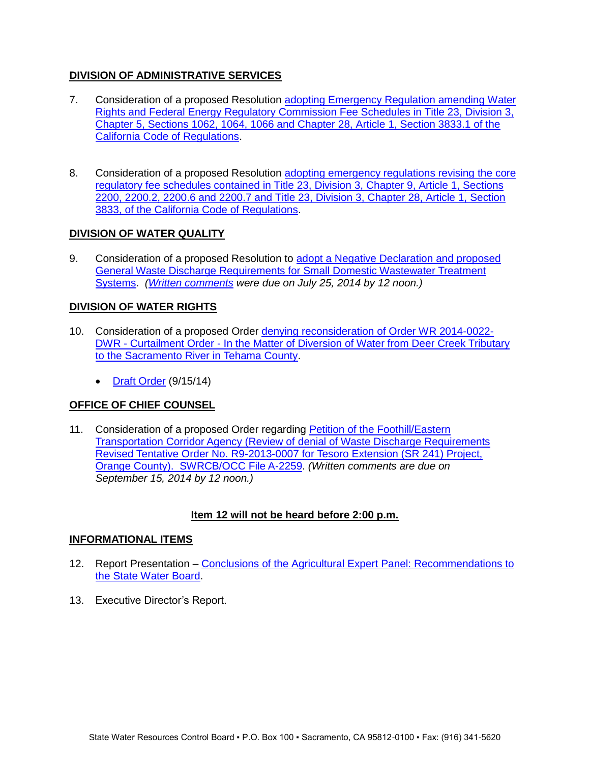# **DIVISION OF ADMINISTRATIVE SERVICES**

- 7. Consideration of a proposed Resolution [adopting Emergency Regulation amending Water](http://www.waterboards.ca.gov/board_info/agendas/2014/sep/092314_7.pdf)  [Rights and Federal Energy Regulatory Commission Fee Schedules in Title 23, Division 3,](http://www.waterboards.ca.gov/board_info/agendas/2014/sep/092314_7.pdf)  [Chapter 5, Sections 1062, 1064, 1066 and Chapter 28, Article 1, Section 3833.1 of the](http://www.waterboards.ca.gov/board_info/agendas/2014/sep/092314_7.pdf)  [California Code of Regulations.](http://www.waterboards.ca.gov/board_info/agendas/2014/sep/092314_7.pdf)
- 8. Consideration of a proposed Resolution [adopting emergency regulations revising the core](http://www.waterboards.ca.gov/board_info/agendas/2014/sep/092314_8.pdf)  [regulatory fee schedules contained in Title 23, Division 3, Chapter 9, Article 1, Sections](http://www.waterboards.ca.gov/board_info/agendas/2014/sep/092314_8.pdf)  [2200, 2200.2, 2200.6 and 2200.7 and Title 23, Division 3, Chapter 28, Article 1, Section](http://www.waterboards.ca.gov/board_info/agendas/2014/sep/092314_8.pdf)  [3833, of the California Code of Regulations.](http://www.waterboards.ca.gov/board_info/agendas/2014/sep/092314_8.pdf)

## **DIVISION OF WATER QUALITY**

9. Consideration of a proposed Resolution to [adopt a Negative Declaration and proposed](http://www.waterboards.ca.gov/board_info/agendas/2014/sep/092314_9.pdf)  [General Waste Discharge Requirements for Small Domestic Wastewater Treatment](http://www.waterboards.ca.gov/board_info/agendas/2014/sep/092314_9.pdf)  [Systems.](http://www.waterboards.ca.gov/board_info/agendas/2014/sep/092314_9.pdf) *[\(Written comments](http://www.waterboards.ca.gov/water_issues/programs/land_disposal/comments072514/index.shtml) were due on July 25, 2014 by 12 noon.)*

#### **DIVISION OF WATER RIGHTS**

- 10. Consideration of a proposed Order [denying reconsideration of Order WR 2014-0022-](http://www.waterboards.ca.gov/board_info/agendas/2014/sep/092314_10.pdf) DWR - Curtailment Order - [In the Matter of Diversion of Water from Deer Creek Tributary](http://www.waterboards.ca.gov/board_info/agendas/2014/sep/092314_10.pdf)  [to the Sacramento River in Tehama County.](http://www.waterboards.ca.gov/board_info/agendas/2014/sep/092314_10.pdf)
	- [Draft Order](http://www.waterboards.ca.gov/board_info/agendas/2014/sep/092314_10_draft_order.pdf) (9/15/14)

## **OFFICE OF CHIEF COUNSEL**

11. Consideration of a proposed Order regarding [Petition of the Foothill/Eastern](http://www.waterboards.ca.gov/board_info/agendas/2014/sep/092314_11.pdf)  [Transportation Corridor Agency \(Review of denial of Waste Discharge Requirements](http://www.waterboards.ca.gov/board_info/agendas/2014/sep/092314_11.pdf)  [Revised Tentative Order No. R9-2013-0007 for Tesoro Extension \(SR 241\) Project,](http://www.waterboards.ca.gov/board_info/agendas/2014/sep/092314_11.pdf)  [Orange County\). SWRCB/OCC File A-2259.](http://www.waterboards.ca.gov/board_info/agendas/2014/sep/092314_11.pdf) *(Written comments are due on September 15, 2014 by 12 noon.)*

## **Item 12 will not be heard before 2:00 p.m.**

#### **INFORMATIONAL ITEMS**

- 12. Report Presentation [Conclusions of the Agricultural Expert Panel: Recommendations to](http://www.waterboards.ca.gov/board_info/agendas/2014/sep/092314_12.pdf)  [the State Water Board.](http://www.waterboards.ca.gov/board_info/agendas/2014/sep/092314_12.pdf)
- 13. Executive Director's Report.